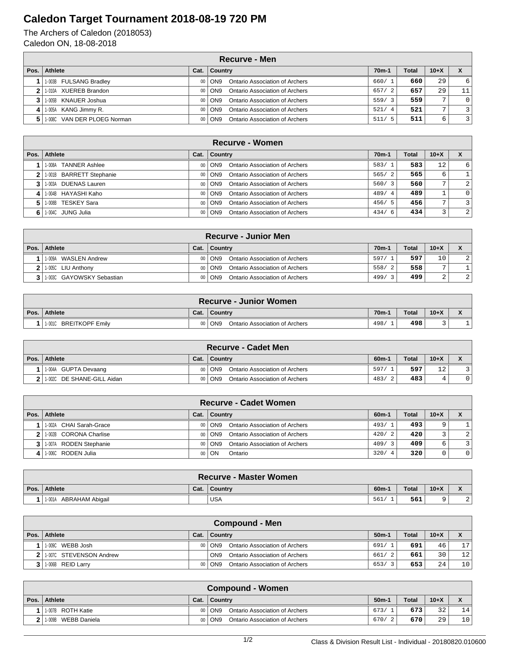## **Caledon Target Tournament 2018-08-19 720 PM**

The Archers of Caledon (2018053) Caledon ON, 18-08-2018

|      | <b>Recurve - Men</b>        |                 |                                                   |         |       |        |                |  |  |  |
|------|-----------------------------|-----------------|---------------------------------------------------|---------|-------|--------|----------------|--|--|--|
| Pos. | Athlete                     | Cat.            | Country                                           | $70m-1$ | Total | $10+X$ |                |  |  |  |
|      | 1-003B FULSANG Bradley      |                 | Ontario Association of Archers<br>00   ON9        | 660/1   | 660   | 29     | 6              |  |  |  |
|      | 1-010A XUEREB Brandon       | 00 <sub>1</sub> | Ontario Association of Archers<br>l ON9           | 657/2   | 657   | 29     | 11             |  |  |  |
|      | 1-005B KNAUER Joshua        | 00 <sub>1</sub> | Ontario Association of Archers<br>ON <sub>9</sub> | 559/3   | 559   |        | $\mathbf{0}$   |  |  |  |
|      | 1-005A KANG Jimmy R.        |                 | Ontario Association of Archers<br>00 ON9          | 521/4   | 521   |        | $\overline{3}$ |  |  |  |
|      | 1-008C VAN DER PLOEG Norman | 00 <sub>1</sub> | Ontario Association of Archers<br>l ON9           | 511/5   | 511   | 6      | $\overline{3}$ |  |  |  |

|      | Recurve - Women          |      |                                                 |                    |       |                |                         |  |  |  |
|------|--------------------------|------|-------------------------------------------------|--------------------|-------|----------------|-------------------------|--|--|--|
| Pos. | <b>Athlete</b>           | Cat. | Country                                         | 70 <sub>m</sub> -1 | Total | $10+X$         |                         |  |  |  |
|      | 1-008A TANNER Ashlee     |      | Ontario Association of Archers<br>00 ON9        | 583/1              | 583   | 12             | 6 <sup>1</sup>          |  |  |  |
|      | 1-001B BARRETT Stephanie |      | Ontario Association of Archers<br>00   ON9      | 565/2              | 565   | 6              |                         |  |  |  |
|      | 1-003A DUENAS Lauren     |      | Ontario Association of Archers<br>00 ON9        | 560/3              | 560   | $\overline{ }$ | $\overline{2}$          |  |  |  |
|      | 1-004B HAYASHI Kaho      |      | Ontario Association of Archers<br>00 ON9        | 489/4              | 489   |                | $\overline{0}$          |  |  |  |
|      | 1-008B TESKEY Sara       |      | Ontario Association of Archers<br>00 ON9        | 456/5              | 456   | ⇁              | $\overline{\mathbf{3}}$ |  |  |  |
|      | 6   1-004C JUNG Julia    |      | <b>Ontario Association of Archers</b><br>00 ON9 | 434/6              | 434   |                | 2 <sup>1</sup>          |  |  |  |

|                | <b>Recurve - Junior Men</b>   |      |                                              |                    |              |                |               |  |  |  |
|----------------|-------------------------------|------|----------------------------------------------|--------------------|--------------|----------------|---------------|--|--|--|
|                | Pos.   Athlete                | Cat. | ∣ Country                                    | 70 <sub>m</sub> -1 | <b>Total</b> | $10 + X$       |               |  |  |  |
|                | WASLEN Andrew<br>1-009A       |      | Ontario Association of Archers<br>00   ON9   | 597/1              | 597          | 10             | $\mathcal{D}$ |  |  |  |
| 2 <sub>1</sub> | 1-005C LIU Anthony            |      | Ontario Association of Archers<br>$00  $ ON9 | 558/2              | 558          | $\overline{ }$ |               |  |  |  |
|                | 3 1 1 003C GAYOWSKY Sebastian |      | Ontario Association of Archers<br>$00  $ ON9 | 499/               | 499          | $\sim$<br>∠    | 2             |  |  |  |

|      | <b>Recurve - Junior Women</b>    |         |                                                   |                    |       |          |  |  |  |
|------|----------------------------------|---------|---------------------------------------------------|--------------------|-------|----------|--|--|--|
| Pos. | <b>Athlete</b>                   | Cat.    | Country                                           | 70 <sub>m</sub> -1 | Total | $10 + X$ |  |  |  |
|      | 1-001C<br><b>BREITKOPF Emily</b> | $00 \,$ | ON <sub>9</sub><br>Ontario Association of Archers | 498,               | 498   |          |  |  |  |

|      | <b>Recurve - Cadet Men</b>     |      |                                            |         |              |        |  |  |  |
|------|--------------------------------|------|--------------------------------------------|---------|--------------|--------|--|--|--|
| Pos. | Athlete                        | Cat. | ∣ Country                                  | $60m-1$ | <b>Total</b> | $10+X$ |  |  |  |
|      | 11-004A GUPTA Devaang          |      | 00   ON9<br>Ontario Association of Archers | 597/    | 597          | 12     |  |  |  |
|      | 2   1-002C DE SHANE-GILL Aidan |      | 00   ON9<br>Ontario Association of Archers | 483/    | 483          |        |  |  |  |

|      | Recurve - Cadet Women    |      |                                            |            |       |        |          |  |  |
|------|--------------------------|------|--------------------------------------------|------------|-------|--------|----------|--|--|
| Pos. | Athlete                  | Cat. | ∣ Country                                  | $60m-1$    | Total | $10+X$ |          |  |  |
|      | 1-002A CHAI Sarah-Grace  |      | Ontario Association of Archers<br>00   ON9 | 493/1      | 493   |        |          |  |  |
|      | 2 1.002B CORONA Charlise |      | Ontario Association of Archers<br>00   ON9 | 420/2      | 420   |        | 2        |  |  |
|      | 1-007A RODEN Stephanie   |      | Ontario Association of Archers<br>00 ON9   | 409/3      | 409   | 6      |          |  |  |
|      | 1-006C RODEN Julia       |      | 00   ON<br>Ontario                         | 320/<br>-4 | 320   |        | $\Omega$ |  |  |

|      | <b>Recurve - Master Women</b> |      |            |         |       |        |                          |  |  |
|------|-------------------------------|------|------------|---------|-------|--------|--------------------------|--|--|
| Pos. | Athlete                       | Cat. | Country    | $60m-1$ | Total | $10+X$ | $\overline{\phantom{a}}$ |  |  |
|      | ABRAHAM Abigail<br>1-001A     |      | <b>USA</b> | 561/    | 561   |        | $\sim$<br>∠              |  |  |

|      | Compound - Men          |  |                                                   |         |              |        |    |  |  |
|------|-------------------------|--|---------------------------------------------------|---------|--------------|--------|----|--|--|
| Pos. | Athlete                 |  | Cat.   Country                                    | $50m-1$ | <b>Total</b> | $10+X$ |    |  |  |
|      | WEBB Josh<br>1-009C     |  | Ontario Association of Archers<br>00 ON9          | 691/    | 691          | 46     | 17 |  |  |
|      | 1-007C STEVENSON Andrew |  | Ontario Association of Archers<br>ON <sub>9</sub> | 661/2   | 661          | 30     | 12 |  |  |
|      | 1-006B REID Larry       |  | Ontario Association of Archers<br>00   ON9        | 653/3   | 653          | 24     | 10 |  |  |

|      | Compound - Women         |      |                                            |                        |              |        |                 |  |  |
|------|--------------------------|------|--------------------------------------------|------------------------|--------------|--------|-----------------|--|--|
| Pos. | Athlete                  | Cat. | Country                                    | $50m-1$                | <b>Total</b> | $10+X$ |                 |  |  |
|      | 1-007B ROTH Katie        |      | 00   ON9<br>Ontario Association of Archers | 673/                   | 673          | 32     | 14              |  |  |
|      | WEBB Daniela<br>l 1-009B |      | Ontario Association of Archers<br>00 ON9   | 670/<br>$\overline{2}$ | 670          | 29     | 10 <sub>1</sub> |  |  |